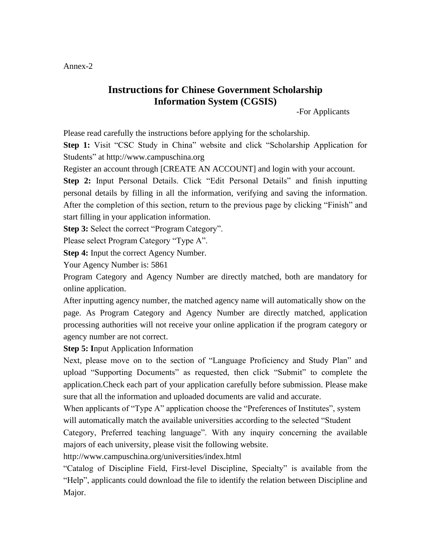## Annex-2

## **Instructions for Chinese Government Scholarship Information System (CGSIS)**

-For Applicants

Please read carefully the instructions before applying for the scholarship.

**Step 1:** Visit "CSC Study in China" website and click "Scholarship Application for Students" at http://www.campuschina.org

Register an account through [CREATE AN ACCOUNT] and login with your account.

**Step 2:** Input Personal Details. Click "Edit Personal Details" and finish inputting personal details by filling in all the information, verifying and saving the information. After the completion of this section, return to the previous page by clicking "Finish" and start filling in your application information.

**Step 3:** Select the correct "Program Category".

Please select Program Category "Type A".

**Step 4:** Input the correct Agency Number.

Your Agency Number is: 5861

Program Category and Agency Number are directly matched, both are mandatory for online application.

After inputting agency number, the matched agency name will automatically show on the page. As Program Category and Agency Number are directly matched, application processing authorities will not receive your online application if the program category or agency number are not correct.

**Step 5: I**nput Application Information

Next, please move on to the section of "Language Proficiency and Study Plan" and upload "Supporting Documents" as requested, then click "Submit" to complete the application.Check each part of your application carefully before submission. Please make sure that all the information and uploaded documents are valid and accurate.

When applicants of "Type A" application choose the "Preferences of Institutes", system will automatically match the available universities according to the selected "Student

Category, Preferred teaching language". With any inquiry concerning the available majors of each university, please visit the following website.

http://www.campuschina.org/universities/index.html

"Catalog of Discipline Field, First-level Discipline, Specialty" is available from the "Help", applicants could download the file to identify the relation between Discipline and Major.